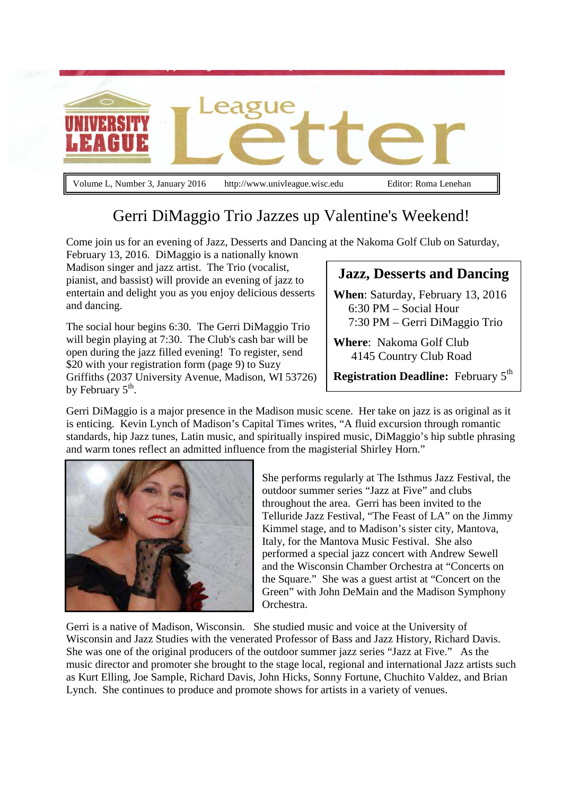

Gerri DiMaggio Trio Jazzes up Valentine's Weekend!

Come join us for an evening of Jazz, Desserts and Dancing at the Nakoma Golf Club on Saturday,

February 13, 2016. DiMaggio is a nationally known Madison singer and jazz artist. The Trio (vocalist, pianist, and bassist) will provide an evening of jazz to entertain and delight you as you enjoy delicious desserts and dancing.

The social hour begins 6:30. The Gerri DiMaggio Trio will begin playing at 7:30. The Club's cash bar will be open during the jazz filled evening! To register, send \$20 with your registration form (page 9) to Suzy Griffiths (2037 University Avenue, Madison, WI 53726) by February  $5^{\text{th}}$ .

### **Jazz, Desserts and Dancing**

**When**: Saturday, February 13, 2016 6:30 PM – Social Hour 7:30 PM – Gerri DiMaggio Trio

**Where**: Nakoma Golf Club 4145 Country Club Road

**Registration Deadline:** February 5<sup>th</sup>

Gerri DiMaggio is a major presence in the Madison music scene. Her take on jazz is as original as it is enticing. Kevin Lynch of Madison's Capital Times writes, "A fluid excursion through romantic standards, hip Jazz tunes, Latin music, and spiritually inspired music, DiMaggio's hip subtle phrasing and warm tones reflect an admitted influence from the magisterial Shirley Horn."



She performs regularly at The Isthmus Jazz Festival, the outdoor summer series "Jazz at Five" and clubs throughout the area. Gerri has been invited to the Telluride Jazz Festival, "The Feast of LA" on the Jimmy Kimmel stage, and to Madison's sister city, Mantova, Italy, for the Mantova Music Festival. She also performed a special jazz concert with Andrew Sewell and the Wisconsin Chamber Orchestra at "Concerts on the Square." She was a guest artist at "Concert on the Green" with John DeMain and the Madison Symphony Orchestra.

Gerri is a native of Madison, Wisconsin. She studied music and voice at the University of Wisconsin and Jazz Studies with the venerated Professor of Bass and Jazz History, Richard Davis. She was one of the original producers of the outdoor summer jazz series "Jazz at Five." As the music director and promoter she brought to the stage local, regional and international Jazz artists such as Kurt Elling, Joe Sample, Richard Davis, John Hicks, Sonny Fortune, Chuchito Valdez, and Brian Lynch. She continues to produce and promote shows for artists in a variety of venues.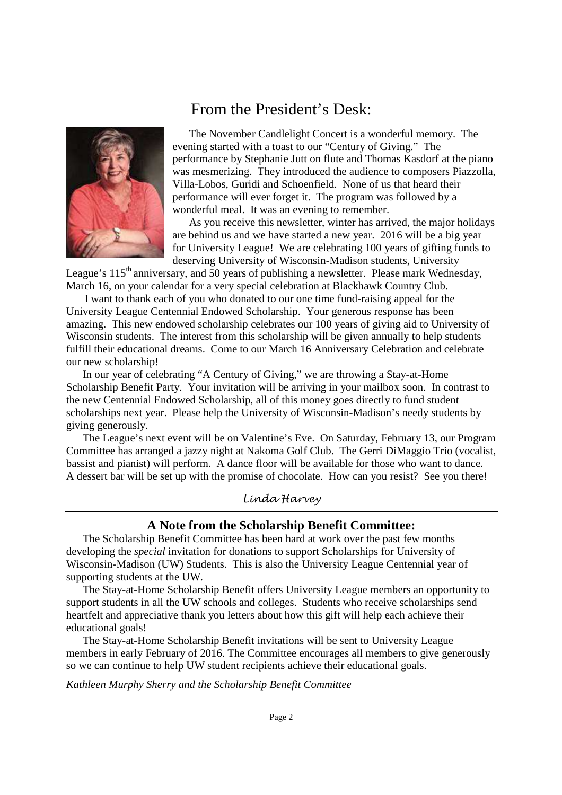## From the President's Desk:



 The November Candlelight Concert is a wonderful memory. The evening started with a toast to our "Century of Giving." The performance by Stephanie Jutt on flute and Thomas Kasdorf at the piano was mesmerizing. They introduced the audience to composers Piazzolla, Villa-Lobos, Guridi and Schoenfield. None of us that heard their performance will ever forget it. The program was followed by a wonderful meal. It was an evening to remember.

 As you receive this newsletter, winter has arrived, the major holidays are behind us and we have started a new year. 2016 will be a big year for University League! We are celebrating 100 years of gifting funds to deserving University of Wisconsin-Madison students, University

League's 115<sup>th</sup> anniversary, and 50 years of publishing a newsletter. Please mark Wednesday, March 16, on your calendar for a very special celebration at Blackhawk Country Club.

 I want to thank each of you who donated to our one time fund-raising appeal for the University League Centennial Endowed Scholarship. Your generous response has been amazing. This new endowed scholarship celebrates our 100 years of giving aid to University of Wisconsin students. The interest from this scholarship will be given annually to help students fulfill their educational dreams. Come to our March 16 Anniversary Celebration and celebrate our new scholarship!

 In our year of celebrating "A Century of Giving," we are throwing a Stay-at-Home Scholarship Benefit Party. Your invitation will be arriving in your mailbox soon. In contrast to the new Centennial Endowed Scholarship, all of this money goes directly to fund student scholarships next year. Please help the University of Wisconsin-Madison's needy students by giving generously.

 The League's next event will be on Valentine's Eve. On Saturday, February 13, our Program Committee has arranged a jazzy night at Nakoma Golf Club. The Gerri DiMaggio Trio (vocalist, bassist and pianist) will perform. A dance floor will be available for those who want to dance. A dessert bar will be set up with the promise of chocolate. How can you resist? See you there!

Linda Harvey

#### **A Note from the Scholarship Benefit Committee:**

 The Scholarship Benefit Committee has been hard at work over the past few months developing the *special* invitation for donations to support Scholarships for University of Wisconsin-Madison (UW) Students. This is also the University League Centennial year of supporting students at the UW.

 The Stay-at-Home Scholarship Benefit offers University League members an opportunity to support students in all the UW schools and colleges. Students who receive scholarships send heartfelt and appreciative thank you letters about how this gift will help each achieve their educational goals!

 The Stay-at-Home Scholarship Benefit invitations will be sent to University League members in early February of 2016. The Committee encourages all members to give generously so we can continue to help UW student recipients achieve their educational goals.

*Kathleen Murphy Sherry and the Scholarship Benefit Committee*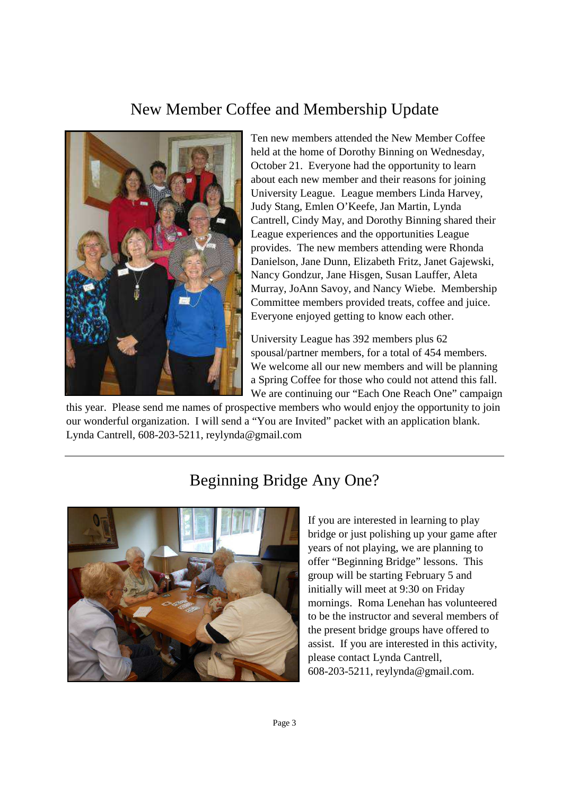# New Member Coffee and Membership Update



Ten new members attended the New Member Coffee held at the home of Dorothy Binning on Wednesday, October 21. Everyone had the opportunity to learn about each new member and their reasons for joining University League. League members Linda Harvey, Judy Stang, Emlen O'Keefe, Jan Martin, Lynda Cantrell, Cindy May, and Dorothy Binning shared their League experiences and the opportunities League provides. The new members attending were Rhonda Danielson, Jane Dunn, Elizabeth Fritz, Janet Gajewski, Nancy Gondzur, Jane Hisgen, Susan Lauffer, Aleta Murray, JoAnn Savoy, and Nancy Wiebe. Membership Committee members provided treats, coffee and juice. Everyone enjoyed getting to know each other.

University League has 392 members plus 62 spousal/partner members, for a total of 454 members. We welcome all our new members and will be planning a Spring Coffee for those who could not attend this fall. We are continuing our "Each One Reach One" campaign

this year. Please send me names of prospective members who would enjoy the opportunity to join our wonderful organization. I will send a "You are Invited" packet with an application blank. Lynda Cantrell, 608-203-5211, reylynda@gmail.com



# Beginning Bridge Any One?

If you are interested in learning to play bridge or just polishing up your game after years of not playing, we are planning to offer "Beginning Bridge" lessons. This group will be starting February 5 and initially will meet at 9:30 on Friday mornings. Roma Lenehan has volunteered to be the instructor and several members of the present bridge groups have offered to assist. If you are interested in this activity, please contact Lynda Cantrell, 608-203-5211, reylynda@gmail.com.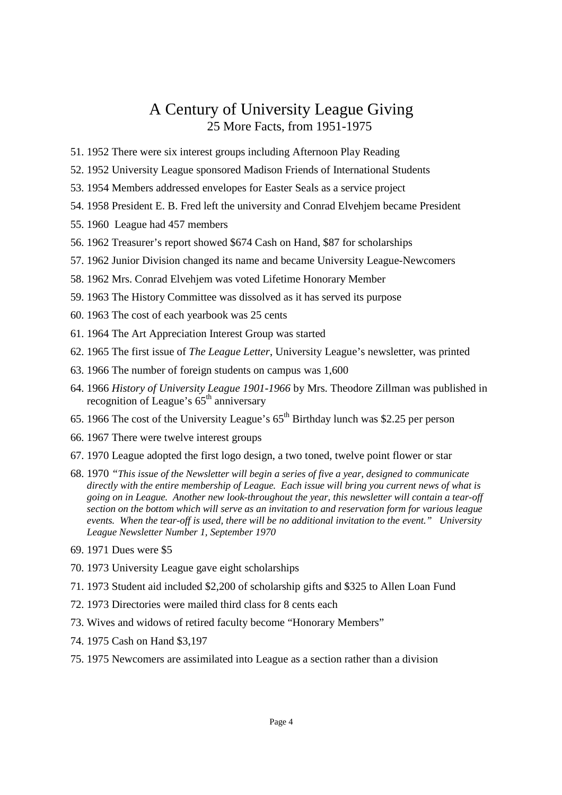## A Century of University League Giving 25 More Facts, from 1951-1975

- 51. 1952 There were six interest groups including Afternoon Play Reading
- 52. 1952 University League sponsored Madison Friends of International Students
- 53. 1954 Members addressed envelopes for Easter Seals as a service project
- 54. 1958 President E. B. Fred left the university and Conrad Elvehjem became President
- 55. 1960 League had 457 members
- 56. 1962 Treasurer's report showed \$674 Cash on Hand, \$87 for scholarships
- 57. 1962 Junior Division changed its name and became University League-Newcomers
- 58. 1962 Mrs. Conrad Elvehjem was voted Lifetime Honorary Member
- 59. 1963 The History Committee was dissolved as it has served its purpose
- 60. 1963 The cost of each yearbook was 25 cents
- 61. 1964 The Art Appreciation Interest Group was started
- 62. 1965 The first issue of *The League Letter*, University League's newsletter, was printed
- 63. 1966 The number of foreign students on campus was 1,600
- 64. 1966 *History of University League 1901-1966* by Mrs. Theodore Zillman was published in recognition of League's 65<sup>th</sup> anniversary
- 65. 1966 The cost of the University League's  $65<sup>th</sup>$  Birthday lunch was \$2.25 per person
- 66. 1967 There were twelve interest groups
- 67. 1970 League adopted the first logo design, a two toned, twelve point flower or star
- 68. 1970 *"This issue of the Newsletter will begin a series of five a year, designed to communicate directly with the entire membership of League. Each issue will bring you current news of what is going on in League. Another new look-throughout the year, this newsletter will contain a tear-off section on the bottom which will serve as an invitation to and reservation form for various league events. When the tear-off is used, there will be no additional invitation to the event." University League Newsletter Number 1, September 1970*
- 69. 1971 Dues were \$5
- 70. 1973 University League gave eight scholarships
- 71. 1973 Student aid included \$2,200 of scholarship gifts and \$325 to Allen Loan Fund
- 72. 1973 Directories were mailed third class for 8 cents each
- 73. Wives and widows of retired faculty become "Honorary Members"
- 74. 1975 Cash on Hand \$3,197
- 75. 1975 Newcomers are assimilated into League as a section rather than a division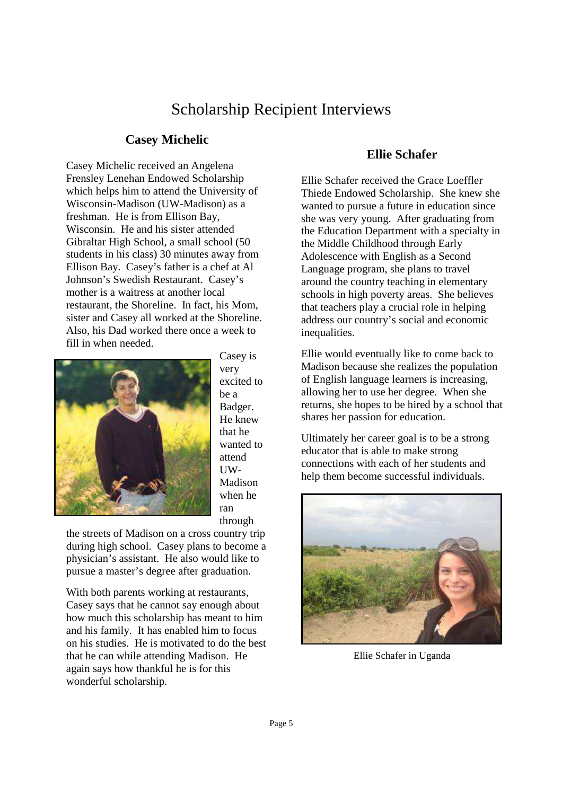## Scholarship Recipient Interviews

#### **Casey Michelic**

Casey Michelic received an Angelena Frensley Lenehan Endowed Scholarship which helps him to attend the University of Wisconsin-Madison (UW-Madison) as a freshman. He is from Ellison Bay, Wisconsin. He and his sister attended Gibraltar High School, a small school (50 students in his class) 30 minutes away from Ellison Bay. Casey's father is a chef at Al Johnson's Swedish Restaurant. Casey's mother is a waitress at another local restaurant, the Shoreline. In fact, his Mom, sister and Casey all worked at the Shoreline. Also, his Dad worked there once a week to fill in when needed.



Casey is very excited to be a Badger. He knew that he wanted to attend UW-Madison when he ran through

the streets of Madison on a cross country trip during high school. Casey plans to become a physician's assistant. He also would like to pursue a master's degree after graduation.

With both parents working at restaurants, Casey says that he cannot say enough about how much this scholarship has meant to him and his family. It has enabled him to focus on his studies. He is motivated to do the best that he can while attending Madison. He again says how thankful he is for this wonderful scholarship.

#### **Ellie Schafer**

Ellie Schafer received the Grace Loeffler Thiede Endowed Scholarship. She knew she wanted to pursue a future in education since she was very young. After graduating from the Education Department with a specialty in the Middle Childhood through Early Adolescence with English as a Second Language program, she plans to travel around the country teaching in elementary schools in high poverty areas. She believes that teachers play a crucial role in helping address our country's social and economic inequalities.

Ellie would eventually like to come back to Madison because she realizes the population of English language learners is increasing, allowing her to use her degree. When she returns, she hopes to be hired by a school that shares her passion for education.

Ultimately her career goal is to be a strong educator that is able to make strong connections with each of her students and help them become successful individuals.



Ellie Schafer in Uganda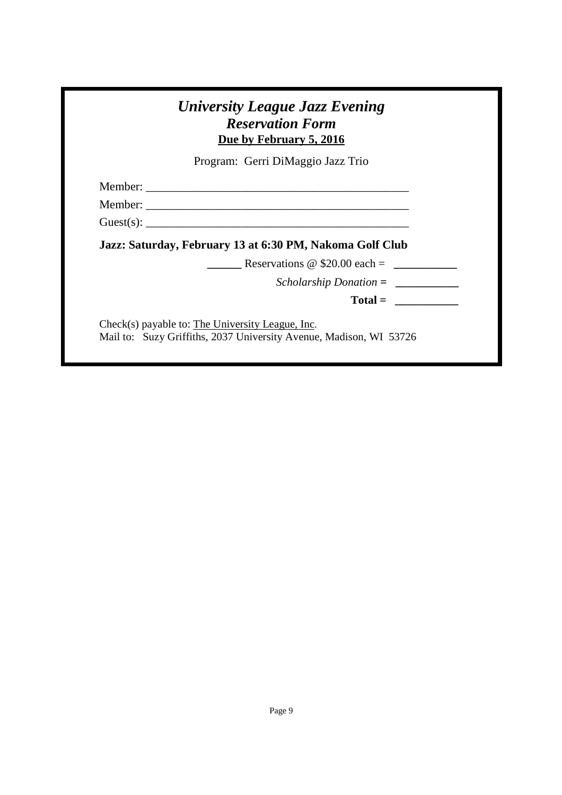| Due by February 5, 2016                                  |
|----------------------------------------------------------|
| Program: Gerri DiMaggio Jazz Trio                        |
|                                                          |
|                                                          |
|                                                          |
| Jazz: Saturday, February 13 at 6:30 PM, Nakoma Golf Club |
| Reservations $\omega$ \$20.00 each =                     |
| $Scholarship\,Donation =$                                |
|                                                          |